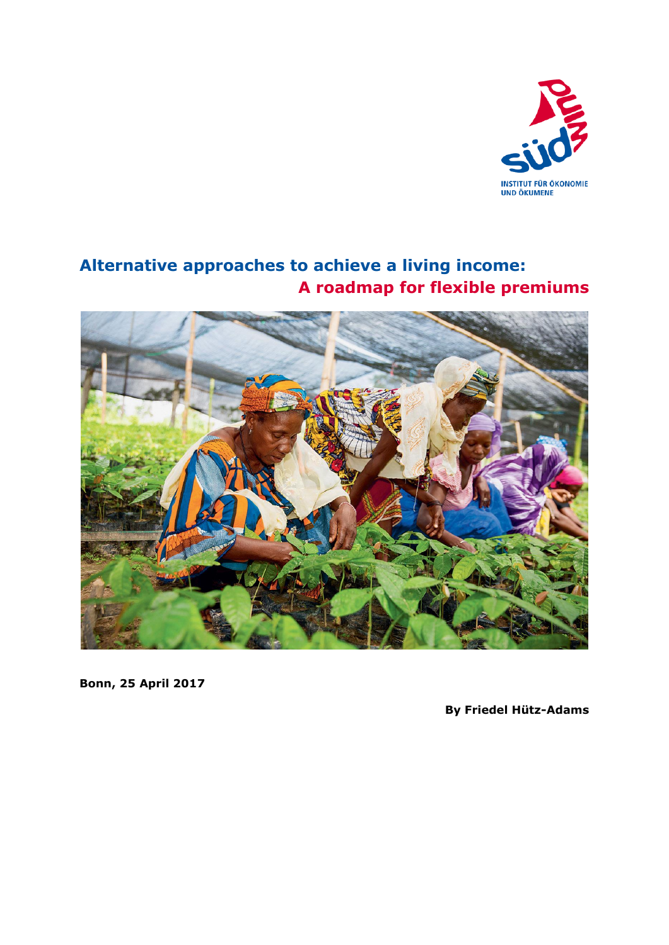

# **Alternative approaches to achieve a living income: A roadmap for flexible premiums**



**Bonn, 25 April 2017**

**By Friedel Hütz-Adams**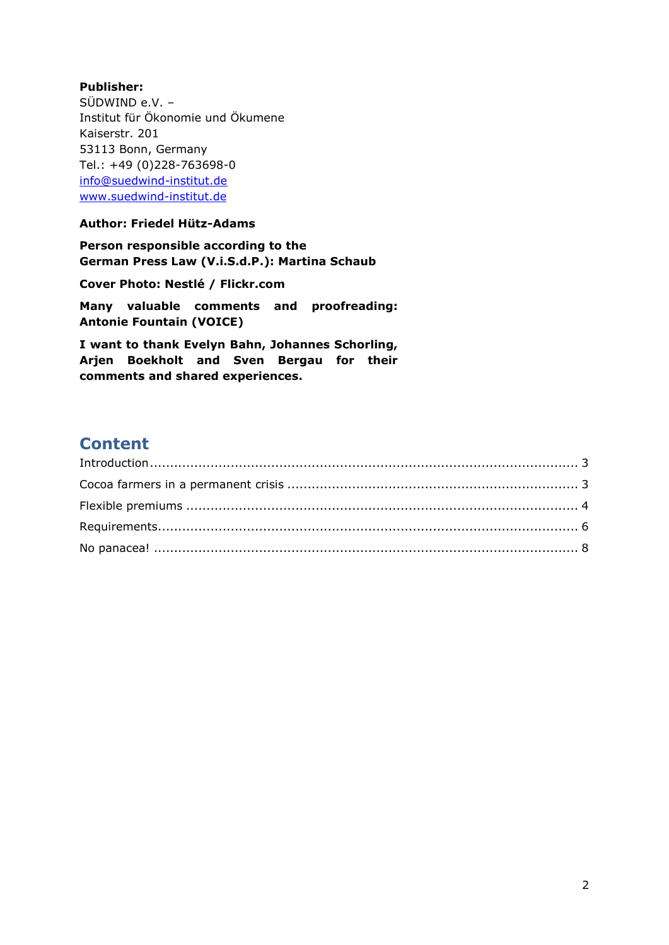### **Publisher:**

SÜDWIND e.V. – Institut für Ökonomie und Ökumene Kaiserstr. 201 53113 Bonn, Germany Tel.: +49 (0)228-763698-0 info@suedwind-institut.de [www.suedwind-institut.de](http://www.suedwind-institut.de/)

### **Author: Friedel Hütz-Adams**

**Person responsible according to the German Press Law (V.i.S.d.P.): Martina Schaub**

**Cover Photo: Nestlé / Flickr.com**

**Many valuable comments and proofreading: Antonie Fountain (VOICE)**

**I want to thank Evelyn Bahn, Johannes Schorling, Arjen Boekholt and Sven Bergau for their comments and shared experiences.**

## **Content**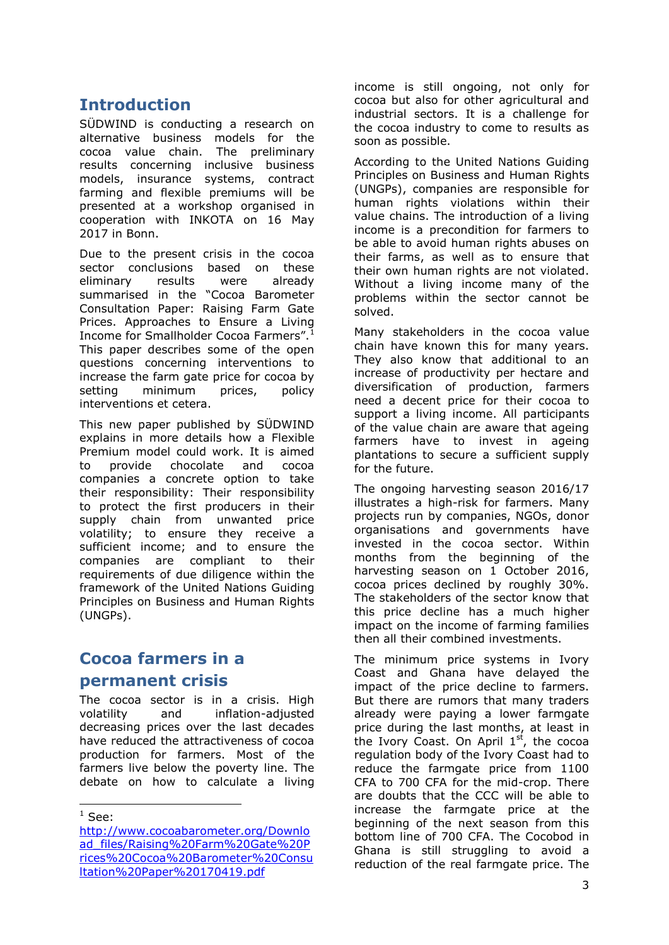## <span id="page-2-0"></span>**Introduction**

SÜDWIND is conducting a research on alternative business models for the cocoa value chain. The preliminary results concerning inclusive business models, insurance systems, contract farming and flexible premiums will be presented at a workshop organised in cooperation with INKOTA on 16 May 2017 in Bonn.

Due to the present crisis in the cocoa sector conclusions based on these eliminary results were already summarised in the "Cocoa Barometer Consultation Paper: Raising Farm Gate Prices. Approaches to Ensure a Living Income for Smallholder Cocoa Farmers". This paper describes some of the open questions concerning interventions to increase the farm gate price for cocoa by setting minimum prices, policy interventions et cetera.

This new paper published by SÜDWIND explains in more details how a Flexible Premium model could work. It is aimed to provide chocolate and cocoa companies a concrete option to take their responsibility: Their responsibility to protect the first producers in their supply chain from unwanted price volatility; to ensure they receive a sufficient income; and to ensure the companies are compliant to their requirements of due diligence within the framework of the United Nations Guiding Principles on Business and Human Rights (UNGPs).

## <span id="page-2-1"></span>**Cocoa farmers in a**

### **permanent crisis**

The cocoa sector is in a crisis. High volatility and inflation-adjusted decreasing prices over the last decades have reduced the attractiveness of cocoa production for farmers. Most of the farmers live below the poverty line. The debate on how to calculate a living

-

income is still ongoing, not only for cocoa but also for other agricultural and industrial sectors. It is a challenge for the cocoa industry to come to results as soon as possible.

According to the United Nations Guiding Principles on Business and Human Rights (UNGPs), companies are responsible for human rights violations within their value chains. The introduction of a living income is a precondition for farmers to be able to avoid human rights abuses on their farms, as well as to ensure that their own human rights are not violated. Without a living income many of the problems within the sector cannot be solved.

Many stakeholders in the cocoa value chain have known this for many years. They also know that additional to an increase of productivity per hectare and diversification of production, farmers need a decent price for their cocoa to support a living income. All participants of the value chain are aware that ageing farmers have to invest in ageing plantations to secure a sufficient supply for the future.

The ongoing harvesting season 2016/17 illustrates a high-risk for farmers. Many projects run by companies, NGOs, donor organisations and governments have invested in the cocoa sector. Within months from the beginning of the harvesting season on 1 October 2016, cocoa prices declined by roughly 30%. The stakeholders of the sector know that this price decline has a much higher impact on the income of farming families then all their combined investments.

The minimum price systems in Ivory Coast and Ghana have delayed the impact of the price decline to farmers. But there are rumors that many traders already were paying a lower farmgate price during the last months, at least in the Ivory Coast. On April  $1<sup>st</sup>$ , the cocoa regulation body of the Ivory Coast had to reduce the farmgate price from 1100 CFA to 700 CFA for the mid-crop. There are doubts that the CCC will be able to increase the farmgate price at the beginning of the next season from this bottom line of 700 CFA. The Cocobod in Ghana is still struggling to avoid a reduction of the real farmgate price. The

 $^1$  See:

[http://www.cocoabarometer.org/Downlo](http://www.cocoabarometer.org/Download_files/Raising%20Farm%20Gate%20Prices%20Cocoa%20Barometer%20Consultation%20Paper%20170419.pdf) [ad\\_files/Raising%20Farm%20Gate%20P](http://www.cocoabarometer.org/Download_files/Raising%20Farm%20Gate%20Prices%20Cocoa%20Barometer%20Consultation%20Paper%20170419.pdf) [rices%20Cocoa%20Barometer%20Consu](http://www.cocoabarometer.org/Download_files/Raising%20Farm%20Gate%20Prices%20Cocoa%20Barometer%20Consultation%20Paper%20170419.pdf) [ltation%20Paper%20170419.pdf](http://www.cocoabarometer.org/Download_files/Raising%20Farm%20Gate%20Prices%20Cocoa%20Barometer%20Consultation%20Paper%20170419.pdf)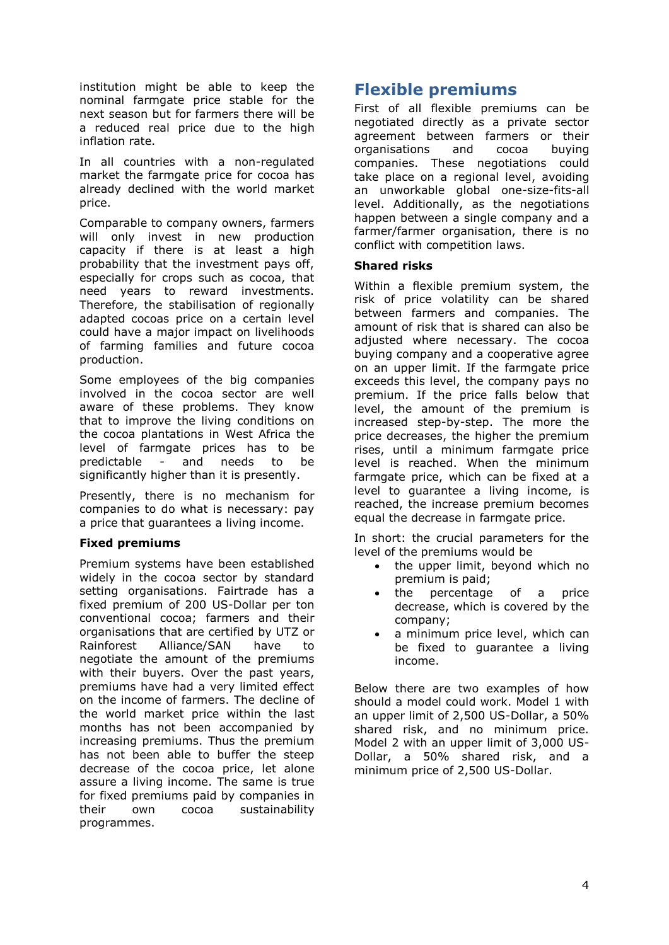institution might be able to keep the nominal farmgate price stable for the next season but for farmers there will be a reduced real price due to the high inflation rate.

In all countries with a non-regulated market the farmgate price for cocoa has already declined with the world market price.

Comparable to company owners, farmers will only invest in new production capacity if there is at least a high probability that the investment pays off, especially for crops such as cocoa, that need years to reward investments. Therefore, the stabilisation of regionally adapted cocoas price on a certain level could have a major impact on livelihoods of farming families and future cocoa production.

Some employees of the big companies involved in the cocoa sector are well aware of these problems. They know that to improve the living conditions on the cocoa plantations in West Africa the level of farmgate prices has to be predictable - and needs to be significantly higher than it is presently.

Presently, there is no mechanism for companies to do what is necessary: pay a price that guarantees a living income.

#### **Fixed premiums**

Premium systems have been established widely in the cocoa sector by standard setting organisations. Fairtrade has a fixed premium of 200 US-Dollar per ton conventional cocoa; farmers and their organisations that are certified by UTZ or Rainforest Alliance/SAN have to negotiate the amount of the premiums with their buyers. Over the past years, premiums have had a very limited effect on the income of farmers. The decline of the world market price within the last months has not been accompanied by increasing premiums. Thus the premium has not been able to buffer the steep decrease of the cocoa price, let alone assure a living income. The same is true for fixed premiums paid by companies in their own cocoa sustainability programmes.

## <span id="page-3-0"></span>**Flexible premiums**

First of all flexible premiums can be negotiated directly as a private sector agreement between farmers or their organisations and cocoa buying companies. These negotiations could take place on a regional level, avoiding an unworkable global one-size-fits-all level. Additionally, as the negotiations happen between a single company and a farmer/farmer organisation, there is no conflict with competition laws.

#### **Shared risks**

Within a flexible premium system, the risk of price volatility can be shared between farmers and companies. The amount of risk that is shared can also be adjusted where necessary. The cocoa buying company and a cooperative agree on an upper limit. If the farmgate price exceeds this level, the company pays no premium. If the price falls below that level, the amount of the premium is increased step-by-step. The more the price decreases, the higher the premium rises, until a minimum farmgate price level is reached. When the minimum farmgate price, which can be fixed at a level to guarantee a living income, is reached, the increase premium becomes equal the decrease in farmgate price.

In short: the crucial parameters for the level of the premiums would be

- the upper limit, beyond which no premium is paid;
- the percentage of a price decrease, which is covered by the company;
- a minimum price level, which can be fixed to guarantee a living income.

Below there are two examples of how should a model could work. Model 1 with an upper limit of 2,500 US-Dollar, a 50% shared risk, and no minimum price. Model 2 with an upper limit of 3,000 US-Dollar, a 50% shared risk, and a minimum price of 2,500 US-Dollar.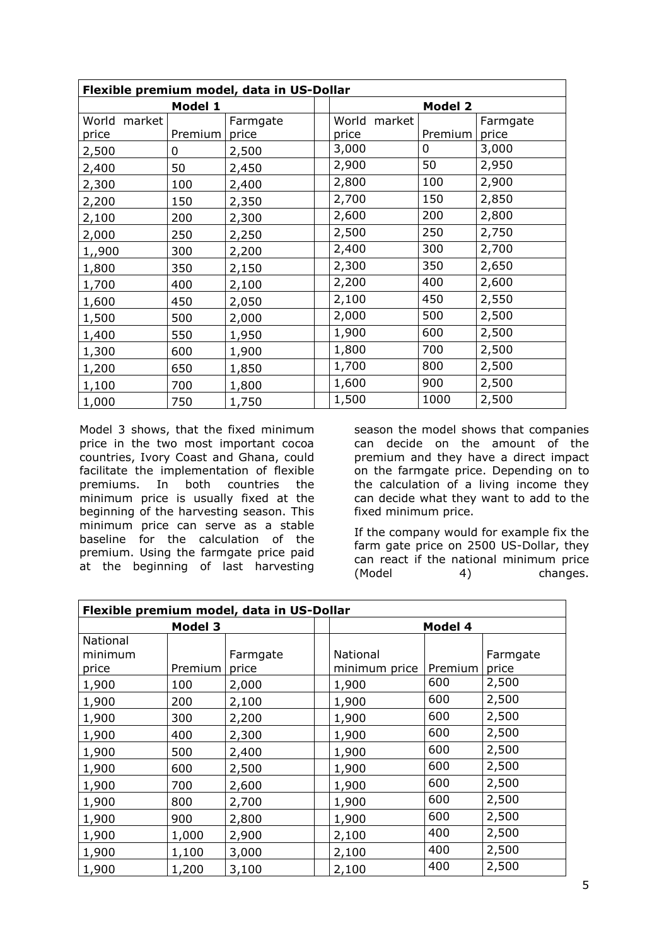| Flexible premium model, data in US-Dollar |         |          |  |                |         |          |  |
|-------------------------------------------|---------|----------|--|----------------|---------|----------|--|
| Model 1                                   |         |          |  | <b>Model 2</b> |         |          |  |
| World market                              |         | Farmgate |  | World market   |         | Farmgate |  |
| price                                     | Premium | price    |  | price          | Premium | price    |  |
| 2,500                                     | 0       | 2,500    |  | 3,000          | 0       | 3,000    |  |
| 2,400                                     | 50      | 2,450    |  | 2,900          | 50      | 2,950    |  |
| 2,300                                     | 100     | 2,400    |  | 2,800          | 100     | 2,900    |  |
| 2,200                                     | 150     | 2,350    |  | 2,700          | 150     | 2,850    |  |
| 2,100                                     | 200     | 2,300    |  | 2,600          | 200     | 2,800    |  |
| 2,000                                     | 250     | 2,250    |  | 2,500          | 250     | 2,750    |  |
| 1,,900                                    | 300     | 2,200    |  | 2,400          | 300     | 2,700    |  |
| 1,800                                     | 350     | 2,150    |  | 2,300          | 350     | 2,650    |  |
| 1,700                                     | 400     | 2,100    |  | 2,200          | 400     | 2,600    |  |
| 1,600                                     | 450     | 2,050    |  | 2,100          | 450     | 2,550    |  |
| 1,500                                     | 500     | 2,000    |  | 2,000          | 500     | 2,500    |  |
| 1,400                                     | 550     | 1,950    |  | 1,900          | 600     | 2,500    |  |
| 1,300                                     | 600     | 1,900    |  | 1,800          | 700     | 2,500    |  |
| 1,200                                     | 650     | 1,850    |  | 1,700          | 800     | 2,500    |  |
| 1,100                                     | 700     | 1,800    |  | 1,600          | 900     | 2,500    |  |
| 1,000                                     | 750     | 1,750    |  | 1,500          | 1000    | 2,500    |  |

Model 3 shows, that the fixed minimum price in the two most important cocoa countries, Ivory Coast and Ghana, could facilitate the implementation of flexible premiums. In both countries the minimum price is usually fixed at the beginning of the harvesting season. This minimum price can serve as a stable baseline for the calculation of the premium. Using the farmgate price paid at the beginning of last harvesting

season the model shows that companies can decide on the amount of the premium and they have a direct impact on the farmgate price. Depending on to the calculation of a living income they can decide what they want to add to the fixed minimum price.

If the company would for example fix the farm gate price on 2500 US-Dollar, they can react if the national minimum price (Model 4) changes.

| Flexible premium model, data in US-Dollar |         |          |  |               |         |          |  |
|-------------------------------------------|---------|----------|--|---------------|---------|----------|--|
| <b>Model 3</b>                            |         |          |  | Model 4       |         |          |  |
| National                                  |         |          |  |               |         |          |  |
| minimum                                   |         | Farmgate |  | National      |         | Farmgate |  |
| price                                     | Premium | price    |  | minimum price | Premium | price    |  |
| 1,900                                     | 100     | 2,000    |  | 1,900         | 600     | 2,500    |  |
| 1,900                                     | 200     | 2,100    |  | 1,900         | 600     | 2,500    |  |
| 1,900                                     | 300     | 2,200    |  | 1,900         | 600     | 2,500    |  |
| 1,900                                     | 400     | 2,300    |  | 1,900         | 600     | 2,500    |  |
| 1,900                                     | 500     | 2,400    |  | 1,900         | 600     | 2,500    |  |
| 1,900                                     | 600     | 2,500    |  | 1,900         | 600     | 2,500    |  |
| 1,900                                     | 700     | 2,600    |  | 1,900         | 600     | 2,500    |  |
| 1,900                                     | 800     | 2,700    |  | 1,900         | 600     | 2,500    |  |
| 1,900                                     | 900     | 2,800    |  | 1,900         | 600     | 2,500    |  |
| 1,900                                     | 1,000   | 2,900    |  | 2,100         | 400     | 2,500    |  |
| 1,900                                     | 1,100   | 3,000    |  | 2,100         | 400     | 2,500    |  |
| 1,900                                     | 1,200   | 3,100    |  | 2,100         | 400     | 2,500    |  |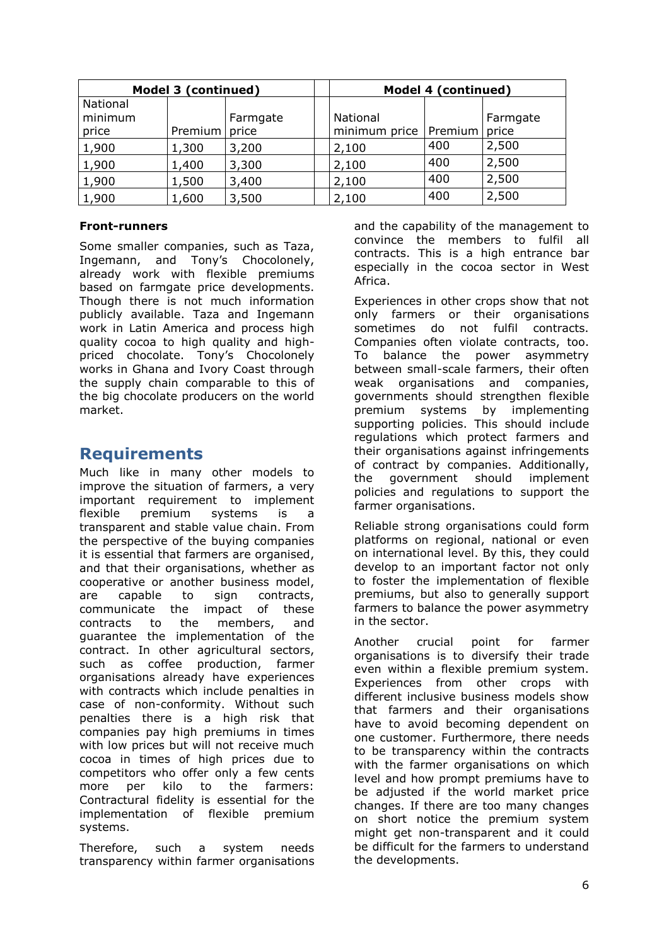| Model 3 (continued)          |         |                   | Model 4 (continued)       |         |                   |
|------------------------------|---------|-------------------|---------------------------|---------|-------------------|
| National<br>minimum<br>price | Premium | Farmgate<br>price | National<br>minimum price | Premium | Farmgate<br>price |
| 1,900                        | 1,300   | 3,200             | 2,100                     | 400     | 2,500             |
| 1,900                        | 1,400   | 3,300             | 2,100                     | 400     | 2,500             |
| 1,900                        | 1,500   | 3,400             | 2,100                     | 400     | 2,500             |
| 1,900                        | 1,600   | 3,500             | 2,100                     | 400     | 2,500             |

#### **Front-runners**

Some smaller companies, such as Taza, Ingemann, and Tony's Chocolonely, already work with flexible premiums based on farmgate price developments. Though there is not much information publicly available. Taza and Ingemann work in Latin America and process high quality cocoa to high quality and highpriced chocolate. Tony's Chocolonely works in Ghana and Ivory Coast through the supply chain comparable to this of the big chocolate producers on the world market.

### <span id="page-5-0"></span>**Requirements**

Much like in many other models to improve the situation of farmers, a very important requirement to implement flexible premium systems is a transparent and stable value chain. From the perspective of the buying companies it is essential that farmers are organised, and that their organisations, whether as cooperative or another business model, are capable to sign contracts, communicate the impact of these contracts to the members, and guarantee the implementation of the contract. In other agricultural sectors, such as coffee production, farmer organisations already have experiences with contracts which include penalties in case of non-conformity. Without such penalties there is a high risk that companies pay high premiums in times with low prices but will not receive much cocoa in times of high prices due to competitors who offer only a few cents more per kilo to the farmers: Contractural fidelity is essential for the implementation of flexible premium systems.

Therefore, such a system needs transparency within farmer organisations

and the capability of the management to convince the members to fulfil all contracts. This is a high entrance bar especially in the cocoa sector in West Africa.

Experiences in other crops show that not only farmers or their organisations sometimes do not fulfil contracts. Companies often violate contracts, too. To balance the power asymmetry between small-scale farmers, their often weak organisations and companies, governments should strengthen flexible premium systems by implementing supporting policies. This should include regulations which protect farmers and their organisations against infringements of contract by companies. Additionally, the government should implement policies and regulations to support the farmer organisations.

Reliable strong organisations could form platforms on regional, national or even on international level. By this, they could develop to an important factor not only to foster the implementation of flexible premiums, but also to generally support farmers to balance the power asymmetry in the sector.

Another crucial point for farmer organisations is to diversify their trade even within a flexible premium system. Experiences from other crops with different inclusive business models show that farmers and their organisations have to avoid becoming dependent on one customer. Furthermore, there needs to be transparency within the contracts with the farmer organisations on which level and how prompt premiums have to be adjusted if the world market price changes. If there are too many changes on short notice the premium system might get non-transparent and it could be difficult for the farmers to understand the developments.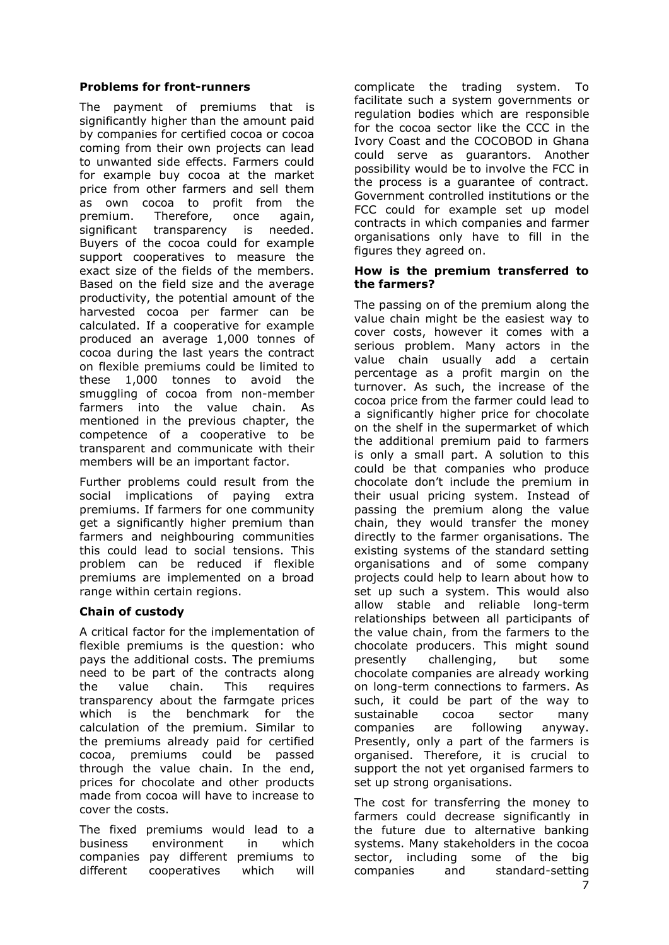#### **Problems for front-runners**

The payment of premiums that is significantly higher than the amount paid by companies for certified cocoa or cocoa coming from their own projects can lead to unwanted side effects. Farmers could for example buy cocoa at the market price from other farmers and sell them as own cocoa to profit from the premium. Therefore, once again, significant transparency is needed. Buyers of the cocoa could for example support cooperatives to measure the exact size of the fields of the members. Based on the field size and the average productivity, the potential amount of the harvested cocoa per farmer can be calculated. If a cooperative for example produced an average 1,000 tonnes of cocoa during the last years the contract on flexible premiums could be limited to these 1,000 tonnes to avoid the smuggling of cocoa from non-member farmers into the value chain. As mentioned in the previous chapter, the competence of a cooperative to be transparent and communicate with their members will be an important factor.

Further problems could result from the social implications of paying extra premiums. If farmers for one community get a significantly higher premium than farmers and neighbouring communities this could lead to social tensions. This problem can be reduced if flexible premiums are implemented on a broad range within certain regions.

### **Chain of custody**

A critical factor for the implementation of flexible premiums is the question: who pays the additional costs. The premiums need to be part of the contracts along the value chain. This requires transparency about the farmgate prices which is the benchmark for the calculation of the premium. Similar to the premiums already paid for certified cocoa, premiums could be passed through the value chain. In the end, prices for chocolate and other products made from cocoa will have to increase to cover the costs.

The fixed premiums would lead to a business environment in which companies pay different premiums to different cooperatives which will

complicate the trading system. To facilitate such a system governments or regulation bodies which are responsible for the cocoa sector like the CCC in the Ivory Coast and the COCOBOD in Ghana could serve as guarantors. Another possibility would be to involve the FCC in the process is a guarantee of contract. Government controlled institutions or the FCC could for example set up model contracts in which companies and farmer organisations only have to fill in the figures they agreed on.

#### **How is the premium transferred to the farmers?**

The passing on of the premium along the value chain might be the easiest way to cover costs, however it comes with a serious problem. Many actors in the value chain usually add a certain percentage as a profit margin on the turnover. As such, the increase of the cocoa price from the farmer could lead to a significantly higher price for chocolate on the shelf in the supermarket of which the additional premium paid to farmers is only a small part. A solution to this could be that companies who produce chocolate don't include the premium in their usual pricing system. Instead of passing the premium along the value chain, they would transfer the money directly to the farmer organisations. The existing systems of the standard setting organisations and of some company projects could help to learn about how to set up such a system. This would also allow stable and reliable long-term relationships between all participants of the value chain, from the farmers to the chocolate producers. This might sound presently challenging, but some chocolate companies are already working on long-term connections to farmers. As such, it could be part of the way to sustainable cocoa sector many companies are following anyway. Presently, only a part of the farmers is organised. Therefore, it is crucial to support the not yet organised farmers to set up strong organisations.

The cost for transferring the money to farmers could decrease significantly in the future due to alternative banking systems. Many stakeholders in the cocoa sector, including some of the big companies and standard-setting